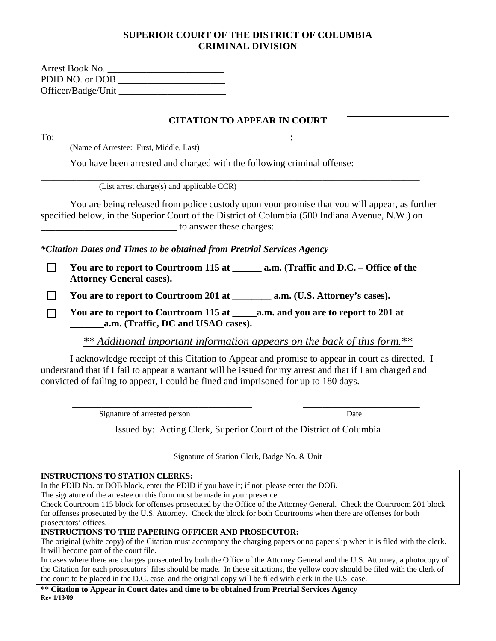#### **SUPERIOR COURT OF THE DISTRICT OF COLUMBIA CRIMINAL DIVISION**

| Arrest Book No.    |  |
|--------------------|--|
| PDID NO. or DOB    |  |
| Officer/Badge/Unit |  |



# **CITATION TO APPEAR IN COURT**

To: \_\_\_\_\_\_\_\_\_\_\_\_\_\_\_\_\_\_\_\_\_\_\_\_\_\_\_\_\_\_\_\_\_\_\_\_\_\_\_\_\_\_\_\_\_\_\_ :

(Name of Arrestee: First, Middle, Last)

You have been arrested and charged with the following criminal offense:

 $\_$  ,  $\_$  ,  $\_$  ,  $\_$  ,  $\_$  ,  $\_$  ,  $\_$  ,  $\_$  ,  $\_$  ,  $\_$  ,  $\_$  ,  $\_$  ,  $\_$  ,  $\_$  ,  $\_$  ,  $\_$  ,  $\_$  ,  $\_$  ,  $\_$  ,  $\_$  ,  $\_$  ,  $\_$  ,  $\_$  ,  $\_$  ,  $\_$  ,  $\_$  ,  $\_$  ,  $\_$  ,  $\_$  ,  $\_$  ,  $\_$  ,  $\_$  ,  $\_$  ,  $\_$  ,  $\_$  ,  $\_$  ,  $\_$  , (List arrest charge(s) and applicable CCR)

You are being released from police custody upon your promise that you will appear, as further specified below, in the Superior Court of the District of Columbia (500 Indiana Avenue, N.W.) on to answer these charges:

*\*Citation Dates and Times to be obtained from Pretrial Services Agency*

□ You are to report to Courtroom 115 at **a.m. (Traffic and D.C. – Office of the Attorney General cases).** 

 **You are to report to Courtroom 201 at \_\_\_\_\_\_\_\_ a.m. (U.S. Attorney's cases).** 

 **You are to report to Courtroom 115 at \_\_\_\_\_a.m. and you are to report to 201 at \_\_\_\_\_\_\_a.m. (Traffic, DC and USAO cases).** 

*\*\* Additional important information appears on the back of this form.\*\**

I acknowledge receipt of this Citation to Appear and promise to appear in court as directed. I understand that if I fail to appear a warrant will be issued for my arrest and that if I am charged and convicted of failing to appear, I could be fined and imprisoned for up to 180 days.

Signature of arrested person Date

Issued by: Acting Clerk, Superior Court of the District of Columbia

Signature of Station Clerk, Badge No. & Unit

#### **INSTRUCTIONS TO STATION CLERKS:**

In the PDID No. or DOB block, enter the PDID if you have it; if not, please enter the DOB.

The signature of the arrestee on this form must be made in your presence.

prosecutors' offices. for offenses prosecuted by the U.S. Attorney. Check the block for both Courtrooms when there are offenses for both Check Courtroom 115 block for offenses prosecuted by the Office of the Attorney General. Check the Courtroom 201 block

**INSTRUCTIONS TO THE PAPERING OFFICER AND PROSECUTOR:** 

It will become part of the court file. The original (white copy) of the Citation must accompany the charging papers or no paper slip when it is filed with the clerk.

the court to be placed in the D.C. case, and the original copy will be filed with clerk in the U.S. case. the Citation for each prosecutors' files should be made. In these situations, the yellow copy should be filed with the clerk of In cases where there are charges prosecuted by both the Office of the Attorney General and the U.S. Attorney, a photocopy of

**\*\* Citation to Appear in Court dates and time to be obtained from Pretrial Services Agency Rev 1/13/09**